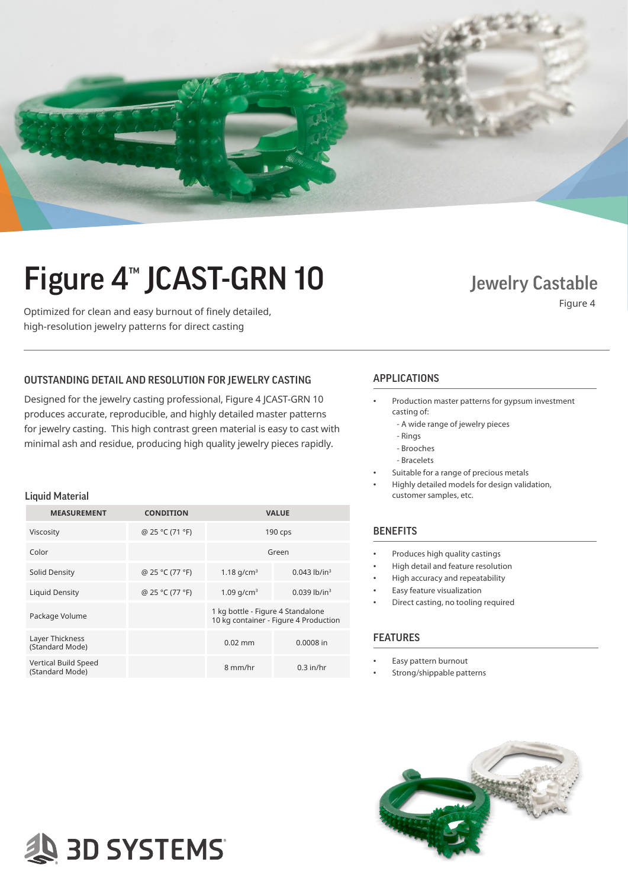

# Figure 4<sup>™</sup> JCAST-GRN 10 Jewelry Castable

Optimized for clean and easy burnout of finely detailed, high-resolution jewelry patterns for direct casting

## OUTSTANDING DETAIL AND RESOLUTION FOR JEWELRY CASTING APPLICATIONS

Designed for the jewelry casting professional, Figure 4 JCAST-GRN 10 produces accurate, reproducible, and highly detailed master patterns for jewelry casting. This high contrast green material is easy to cast with minimal ash and residue, producing high quality jewelry pieces rapidly.

### Liquid Material

| <b>MEASUREMENT</b>                      | <b>CONDITION</b> |                                                                            | <b>VALUE</b>               |
|-----------------------------------------|------------------|----------------------------------------------------------------------------|----------------------------|
| Viscosity                               | @ 25 °C (71 °F)  | $190$ cps                                                                  |                            |
| Color                                   |                  | Green                                                                      |                            |
| Solid Density                           | @ 25 °C (77 °F)  | 1.18 $q/cm^3$                                                              | $0.043$ lb/in <sup>3</sup> |
| Liquid Density                          | @ 25 °C (77 °F)  | 1.09 $q/cm^3$                                                              | $0.039$ lb/in <sup>3</sup> |
| Package Volume                          |                  | 1 kg bottle - Figure 4 Standalone<br>10 kg container - Figure 4 Production |                            |
| Layer Thickness<br>(Standard Mode)      |                  | $0.02$ mm                                                                  | 0.0008 in                  |
| Vertical Build Speed<br>(Standard Mode) |                  | 8 mm/hr                                                                    | $0.3$ in/hr                |

• Production master patterns for gypsum investment casting of:

Figure 4

- A wide range of jewelry pieces
- Rings
- Brooches
- Bracelets
- Suitable for a range of precious metals
- Highly detailed models for design validation, customer samples, etc.

### **BENEFITS**

- Produces high quality castings
- High detail and feature resolution
- High accuracy and repeatability
- Easy feature visualization
- Direct casting, no tooling required

### FEATURES

- Easy pattern burnout
- Strong/shippable patterns